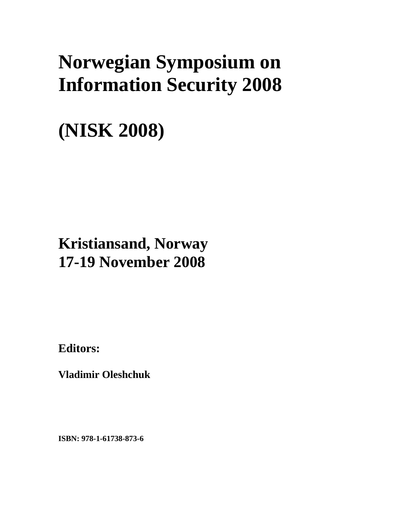## **Norwegian Symposium on Information Security 2008**

# **(NISK 2008)**

## **Kristiansand, Norway 17-19 November 2008**

**Editors:** 

**Vladimir Oleshchuk** 

**ISBN: 978-1-61738-873-6**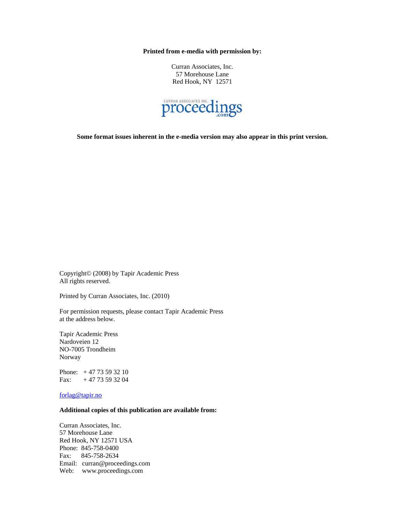**Printed from e-media with permission by:** 

Curran Associates, Inc. 57 Morehouse Lane Red Hook, NY 12571



**Some format issues inherent in the e-media version may also appear in this print version.** 

Copyright© (2008) by Tapir Academic Press All rights reserved.

Printed by Curran Associates, Inc. (2010)

For permission requests, please contact Tapir Academic Press at the address below.

Tapir Academic Press Nardoveien 12 NO-7005 Trondheim Norway

Phone: + 47 73 59 32 10 Fax:  $+4773593204$ 

forlag@tapir.no

#### **Additional copies of this publication are available from:**

Curran Associates, Inc. 57 Morehouse Lane Red Hook, NY 12571 USA Phone: 845-758-0400 Fax: 845-758-2634 Email: curran@proceedings.com Web: www.proceedings.com